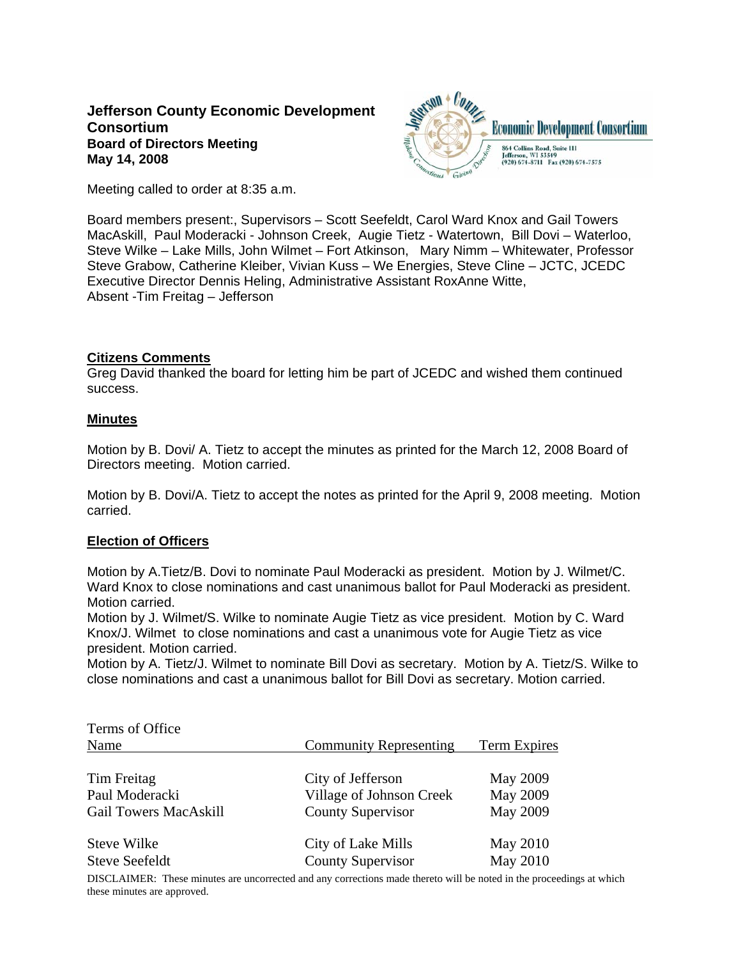# **Jefferson County Economic Development Consortium Board of Directors Meeting May 14, 2008**



Meeting called to order at 8:35 a.m.

Board members present:, Supervisors – Scott Seefeldt, Carol Ward Knox and Gail Towers MacAskill, Paul Moderacki - Johnson Creek, Augie Tietz - Watertown, Bill Dovi – Waterloo, Steve Wilke – Lake Mills, John Wilmet – Fort Atkinson, Mary Nimm – Whitewater, Professor Steve Grabow, Catherine Kleiber, Vivian Kuss – We Energies, Steve Cline – JCTC, JCEDC Executive Director Dennis Heling, Administrative Assistant RoxAnne Witte, Absent -Tim Freitag – Jefferson

# **Citizens Comments**

Greg David thanked the board for letting him be part of JCEDC and wished them continued success.

# **Minutes**

Motion by B. Dovi/ A. Tietz to accept the minutes as printed for the March 12, 2008 Board of Directors meeting. Motion carried.

Motion by B. Dovi/A. Tietz to accept the notes as printed for the April 9, 2008 meeting. Motion carried.

# **Election of Officers**

Motion by A.Tietz/B. Dovi to nominate Paul Moderacki as president. Motion by J. Wilmet/C. Ward Knox to close nominations and cast unanimous ballot for Paul Moderacki as president. Motion carried.

Motion by J. Wilmet/S. Wilke to nominate Augie Tietz as vice president. Motion by C. Ward Knox/J. Wilmet to close nominations and cast a unanimous vote for Augie Tietz as vice president. Motion carried.

Motion by A. Tietz/J. Wilmet to nominate Bill Dovi as secretary. Motion by A. Tietz/S. Wilke to close nominations and cast a unanimous ballot for Bill Dovi as secretary. Motion carried.

| Terms of Office              |                               |                 |  |
|------------------------------|-------------------------------|-----------------|--|
| Name                         | <b>Community Representing</b> | Term Expires    |  |
| Tim Freitag                  | City of Jefferson             | <b>May 2009</b> |  |
| Paul Moderacki               | Village of Johnson Creek      | May 2009        |  |
| <b>Gail Towers MacAskill</b> | County Supervisor             | May 2009        |  |
| Steve Wilke                  | City of Lake Mills            | May 2010        |  |
| <b>Steve Seefeldt</b>        | <b>County Supervisor</b>      | May 2010        |  |

DISCLAIMER: These minutes are uncorrected and any corrections made thereto will be noted in the proceedings at which these minutes are approved.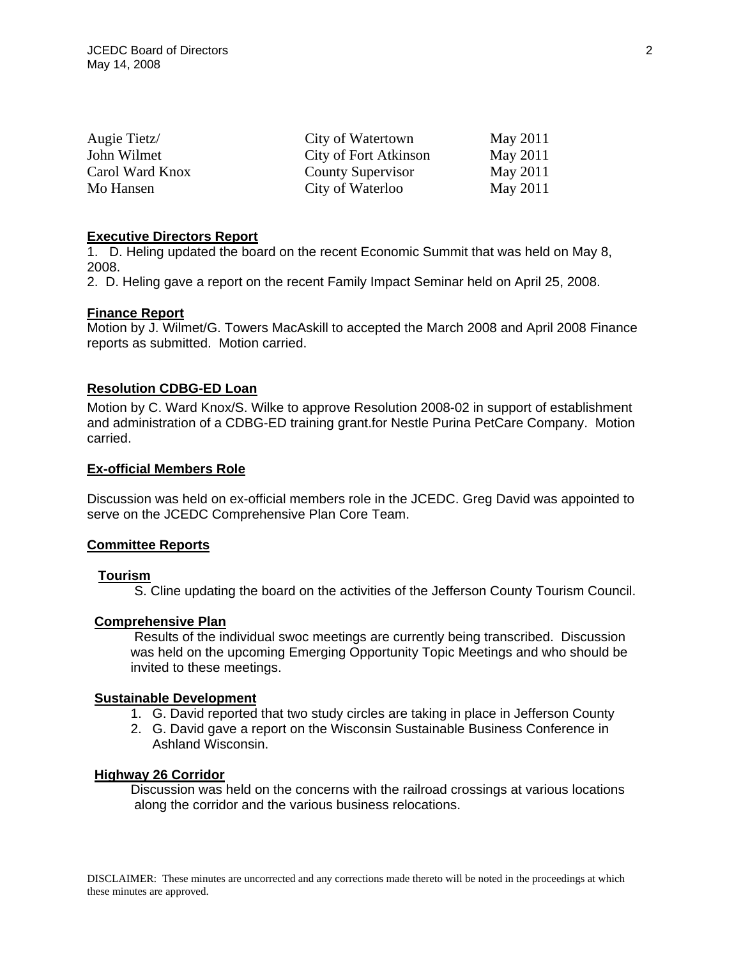| Augie Tietz/    | City of Watertown     | May 2011 |
|-----------------|-----------------------|----------|
| John Wilmet     | City of Fort Atkinson | May 2011 |
| Carol Ward Knox | County Supervisor     | May 2011 |
| Mo Hansen       | City of Waterloo      | May 2011 |

## **Executive Directors Report**

1. D. Heling updated the board on the recent Economic Summit that was held on May 8, 2008.

2. D. Heling gave a report on the recent Family Impact Seminar held on April 25, 2008.

## **Finance Report**

Motion by J. Wilmet/G. Towers MacAskill to accepted the March 2008 and April 2008 Finance reports as submitted. Motion carried.

## **Resolution CDBG-ED Loan**

Motion by C. Ward Knox/S. Wilke to approve Resolution 2008-02 in support of establishment and administration of a CDBG-ED training grant.for Nestle Purina PetCare Company. Motion carried.

#### **Ex-official Members Role**

Discussion was held on ex-official members role in the JCEDC. Greg David was appointed to serve on the JCEDC Comprehensive Plan Core Team.

#### **Committee Reports**

## **Tourism**

S. Cline updating the board on the activities of the Jefferson County Tourism Council.

## **Comprehensive Plan**

 Results of the individual swoc meetings are currently being transcribed. Discussion was held on the upcoming Emerging Opportunity Topic Meetings and who should be invited to these meetings.

## **Sustainable Development**

- 1. G. David reported that two study circles are taking in place in Jefferson County
- 2. G. David gave a report on the Wisconsin Sustainable Business Conference in Ashland Wisconsin.

#### **Highway 26 Corridor**

 Discussion was held on the concerns with the railroad crossings at various locations along the corridor and the various business relocations.